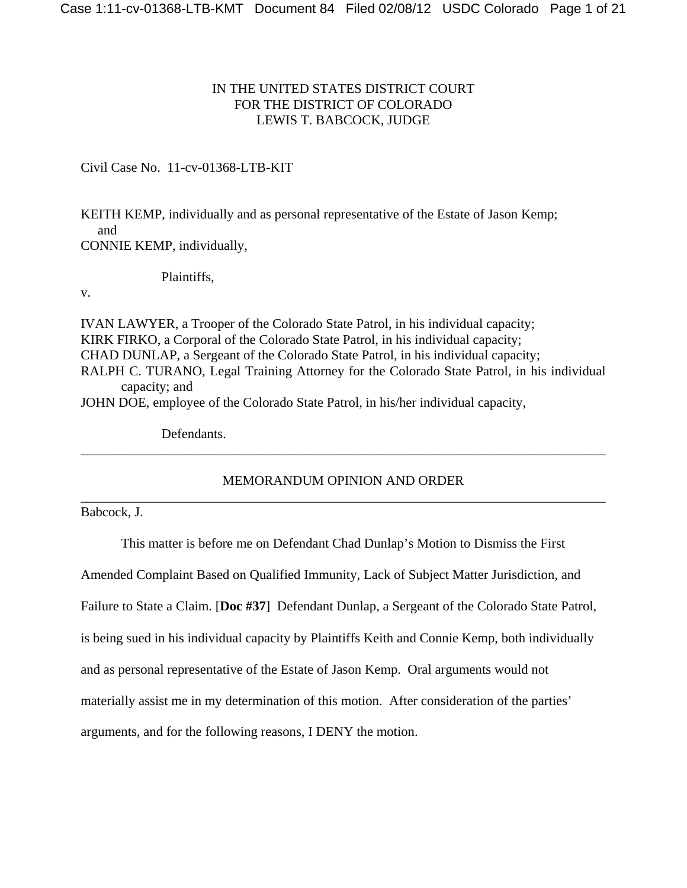# IN THE UNITED STATES DISTRICT COURT FOR THE DISTRICT OF COLORADO LEWIS T. BABCOCK, JUDGE

Civil Case No. 11-cv-01368-LTB-KIT

KEITH KEMP, individually and as personal representative of the Estate of Jason Kemp; and CONNIE KEMP, individually,

Plaintiffs,

v.

IVAN LAWYER, a Trooper of the Colorado State Patrol, in his individual capacity; KIRK FIRKO, a Corporal of the Colorado State Patrol, in his individual capacity; CHAD DUNLAP, a Sergeant of the Colorado State Patrol, in his individual capacity; RALPH C. TURANO, Legal Training Attorney for the Colorado State Patrol, in his individual capacity; and JOHN DOE, employee of the Colorado State Patrol, in his/her individual capacity,

Defendants.

MEMORANDUM OPINION AND ORDER \_\_\_\_\_\_\_\_\_\_\_\_\_\_\_\_\_\_\_\_\_\_\_\_\_\_\_\_\_\_\_\_\_\_\_\_\_\_\_\_\_\_\_\_\_\_\_\_\_\_\_\_\_\_\_\_\_\_\_\_\_\_\_\_\_\_\_\_\_\_\_\_\_\_\_\_\_\_

\_\_\_\_\_\_\_\_\_\_\_\_\_\_\_\_\_\_\_\_\_\_\_\_\_\_\_\_\_\_\_\_\_\_\_\_\_\_\_\_\_\_\_\_\_\_\_\_\_\_\_\_\_\_\_\_\_\_\_\_\_\_\_\_\_\_\_\_\_\_\_\_\_\_\_\_\_\_

Babcock, J.

This matter is before me on Defendant Chad Dunlap's Motion to Dismiss the First

Amended Complaint Based on Qualified Immunity, Lack of Subject Matter Jurisdiction, and

Failure to State a Claim. [**Doc #37**] Defendant Dunlap, a Sergeant of the Colorado State Patrol,

is being sued in his individual capacity by Plaintiffs Keith and Connie Kemp, both individually

and as personal representative of the Estate of Jason Kemp. Oral arguments would not

materially assist me in my determination of this motion. After consideration of the parties'

arguments, and for the following reasons, I DENY the motion.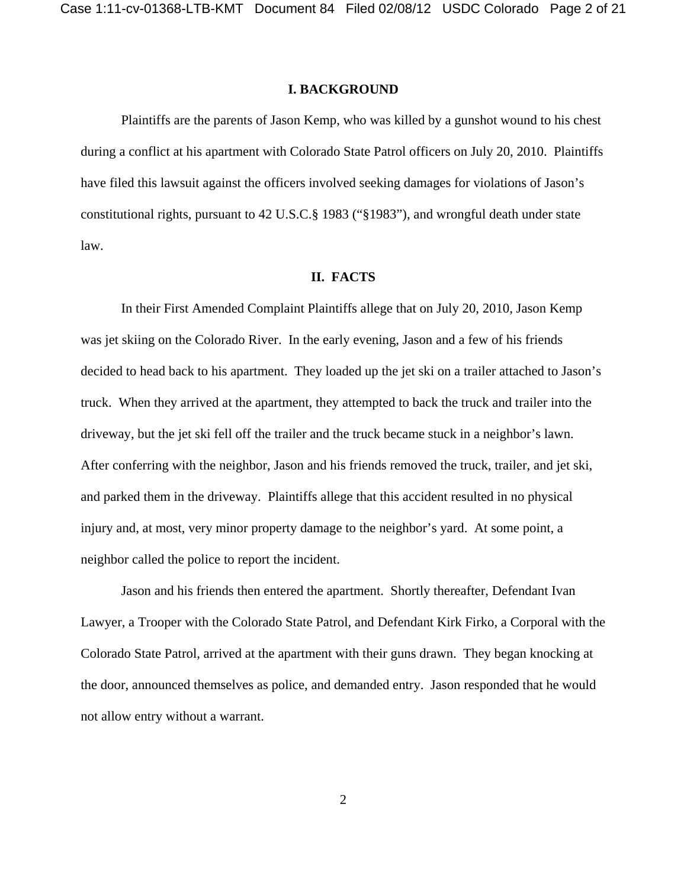### **I. BACKGROUND**

Plaintiffs are the parents of Jason Kemp, who was killed by a gunshot wound to his chest during a conflict at his apartment with Colorado State Patrol officers on July 20, 2010. Plaintiffs have filed this lawsuit against the officers involved seeking damages for violations of Jason's constitutional rights, pursuant to 42 U.S.C.§ 1983 ("§1983"), and wrongful death under state law.

### **II. FACTS**

In their First Amended Complaint Plaintiffs allege that on July 20, 2010, Jason Kemp was jet skiing on the Colorado River. In the early evening, Jason and a few of his friends decided to head back to his apartment. They loaded up the jet ski on a trailer attached to Jason's truck. When they arrived at the apartment, they attempted to back the truck and trailer into the driveway, but the jet ski fell off the trailer and the truck became stuck in a neighbor's lawn. After conferring with the neighbor, Jason and his friends removed the truck, trailer, and jet ski, and parked them in the driveway. Plaintiffs allege that this accident resulted in no physical injury and, at most, very minor property damage to the neighbor's yard. At some point, a neighbor called the police to report the incident.

Jason and his friends then entered the apartment. Shortly thereafter, Defendant Ivan Lawyer, a Trooper with the Colorado State Patrol, and Defendant Kirk Firko, a Corporal with the Colorado State Patrol, arrived at the apartment with their guns drawn. They began knocking at the door, announced themselves as police, and demanded entry. Jason responded that he would not allow entry without a warrant.

2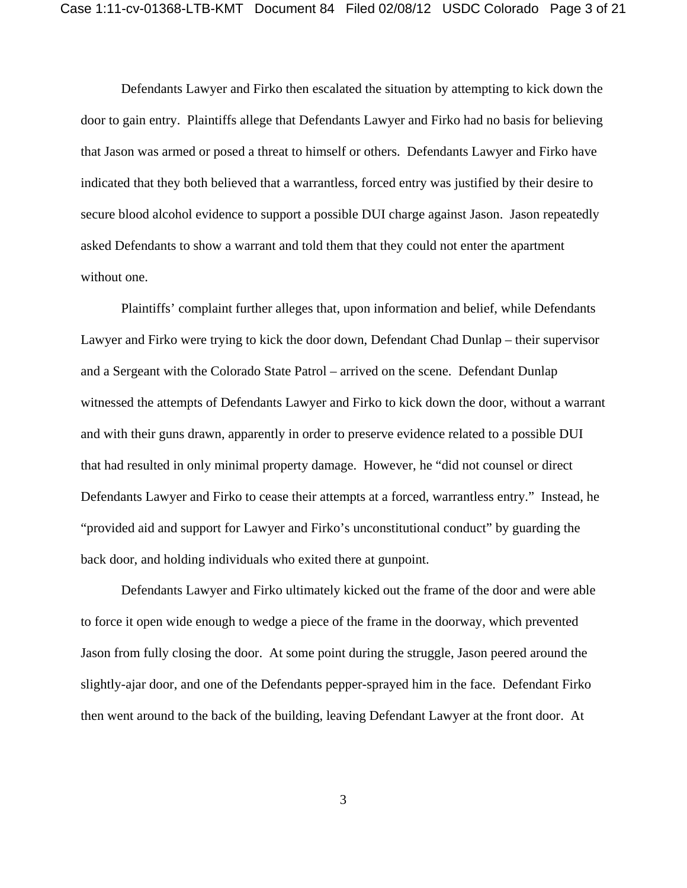Defendants Lawyer and Firko then escalated the situation by attempting to kick down the door to gain entry. Plaintiffs allege that Defendants Lawyer and Firko had no basis for believing that Jason was armed or posed a threat to himself or others. Defendants Lawyer and Firko have indicated that they both believed that a warrantless, forced entry was justified by their desire to secure blood alcohol evidence to support a possible DUI charge against Jason. Jason repeatedly asked Defendants to show a warrant and told them that they could not enter the apartment without one.

Plaintiffs' complaint further alleges that, upon information and belief, while Defendants Lawyer and Firko were trying to kick the door down, Defendant Chad Dunlap – their supervisor and a Sergeant with the Colorado State Patrol – arrived on the scene. Defendant Dunlap witnessed the attempts of Defendants Lawyer and Firko to kick down the door, without a warrant and with their guns drawn, apparently in order to preserve evidence related to a possible DUI that had resulted in only minimal property damage. However, he "did not counsel or direct Defendants Lawyer and Firko to cease their attempts at a forced, warrantless entry." Instead, he "provided aid and support for Lawyer and Firko's unconstitutional conduct" by guarding the back door, and holding individuals who exited there at gunpoint.

Defendants Lawyer and Firko ultimately kicked out the frame of the door and were able to force it open wide enough to wedge a piece of the frame in the doorway, which prevented Jason from fully closing the door. At some point during the struggle, Jason peered around the slightly-ajar door, and one of the Defendants pepper-sprayed him in the face. Defendant Firko then went around to the back of the building, leaving Defendant Lawyer at the front door. At

3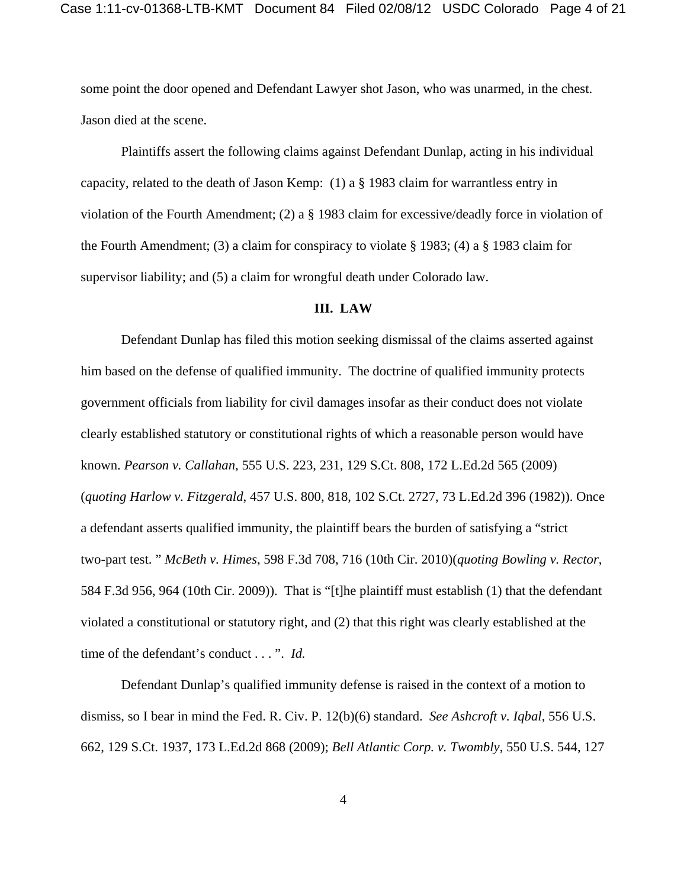some point the door opened and Defendant Lawyer shot Jason, who was unarmed, in the chest. Jason died at the scene.

Plaintiffs assert the following claims against Defendant Dunlap, acting in his individual capacity, related to the death of Jason Kemp: (1) a § 1983 claim for warrantless entry in violation of the Fourth Amendment; (2) a § 1983 claim for excessive/deadly force in violation of the Fourth Amendment; (3) a claim for conspiracy to violate § 1983; (4) a § 1983 claim for supervisor liability; and (5) a claim for wrongful death under Colorado law.

## **III. LAW**

Defendant Dunlap has filed this motion seeking dismissal of the claims asserted against him based on the defense of qualified immunity. The doctrine of qualified immunity protects government officials from liability for civil damages insofar as their conduct does not violate clearly established statutory or constitutional rights of which a reasonable person would have known. *Pearson v. Callahan*, 555 U.S. 223, 231, 129 S.Ct. 808, 172 L.Ed.2d 565 (2009) (*quoting Harlow v. Fitzgerald*, 457 U.S. 800, 818, 102 S.Ct. 2727, 73 L.Ed.2d 396 (1982)). Once a defendant asserts qualified immunity, the plaintiff bears the burden of satisfying a "strict two-part test. " *McBeth v. Himes*, 598 F.3d 708, 716 (10th Cir. 2010)(*quoting Bowling v. Rector*, 584 F.3d 956, 964 (10th Cir. 2009)). That is "[t]he plaintiff must establish (1) that the defendant violated a constitutional or statutory right, and (2) that this right was clearly established at the time of the defendant's conduct . . . ". *Id.* 

Defendant Dunlap's qualified immunity defense is raised in the context of a motion to dismiss, so I bear in mind the Fed. R. Civ. P. 12(b)(6) standard. *See Ashcroft v. Iqbal*, 556 U.S. 662, 129 S.Ct. 1937, 173 L.Ed.2d 868 (2009); *Bell Atlantic Corp. v. Twombly*, 550 U.S. 544, 127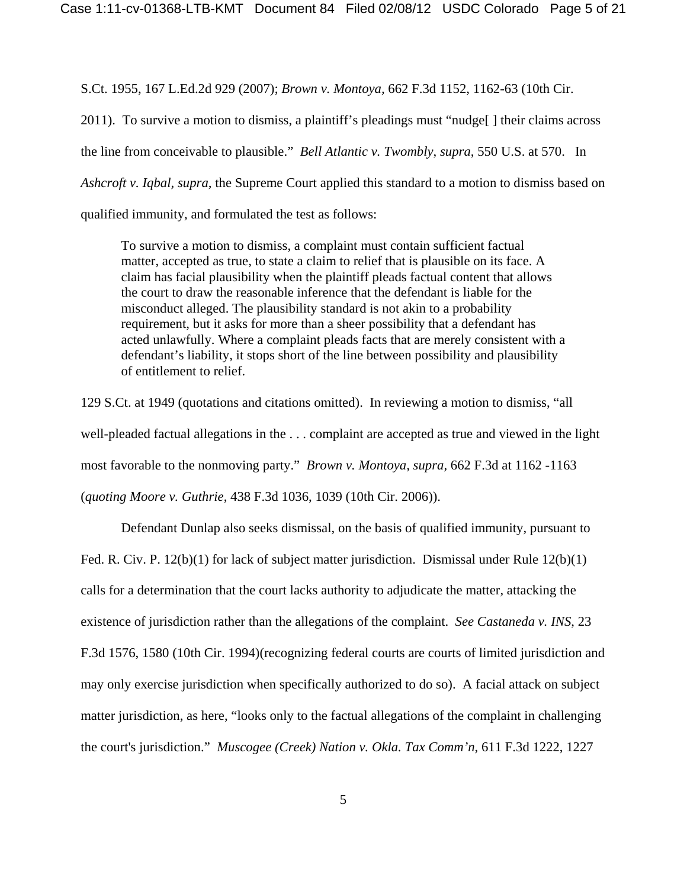S.Ct. 1955, 167 L.Ed.2d 929 (2007); *Brown v. Montoya,* 662 F.3d 1152, 1162-63 (10th Cir.

2011). To survive a motion to dismiss, a plaintiff's pleadings must "nudge[ ] their claims across the line from conceivable to plausible." *Bell Atlantic v. Twombly*, *supra*, 550 U.S. at 570. In *Ashcroft v. Iqbal, supra,* the Supreme Court applied this standard to a motion to dismiss based on qualified immunity, and formulated the test as follows:

To survive a motion to dismiss, a complaint must contain sufficient factual matter, accepted as true, to state a claim to relief that is plausible on its face. A claim has facial plausibility when the plaintiff pleads factual content that allows the court to draw the reasonable inference that the defendant is liable for the misconduct alleged. The plausibility standard is not akin to a probability requirement, but it asks for more than a sheer possibility that a defendant has acted unlawfully. Where a complaint pleads facts that are merely consistent with a defendant's liability, it stops short of the line between possibility and plausibility of entitlement to relief.

129 S.Ct. at 1949 (quotations and citations omitted). In reviewing a motion to dismiss, "all well-pleaded factual allegations in the . . . complaint are accepted as true and viewed in the light most favorable to the nonmoving party." *Brown v. Montoya, supra,* 662 F.3d at 1162 -1163 (*quoting Moore v. Guthrie*, 438 F.3d 1036, 1039 (10th Cir. 2006)).

Defendant Dunlap also seeks dismissal, on the basis of qualified immunity, pursuant to Fed. R. Civ. P. 12(b)(1) for lack of subject matter jurisdiction. Dismissal under Rule 12(b)(1) calls for a determination that the court lacks authority to adjudicate the matter, attacking the existence of jurisdiction rather than the allegations of the complaint. *See Castaneda v. INS*, 23 F.3d 1576, 1580 (10th Cir. 1994)(recognizing federal courts are courts of limited jurisdiction and may only exercise jurisdiction when specifically authorized to do so). A facial attack on subject matter jurisdiction, as here, "looks only to the factual allegations of the complaint in challenging the court's jurisdiction." *Muscogee (Creek) Nation v. Okla. Tax Comm'n*, 611 F.3d 1222, 1227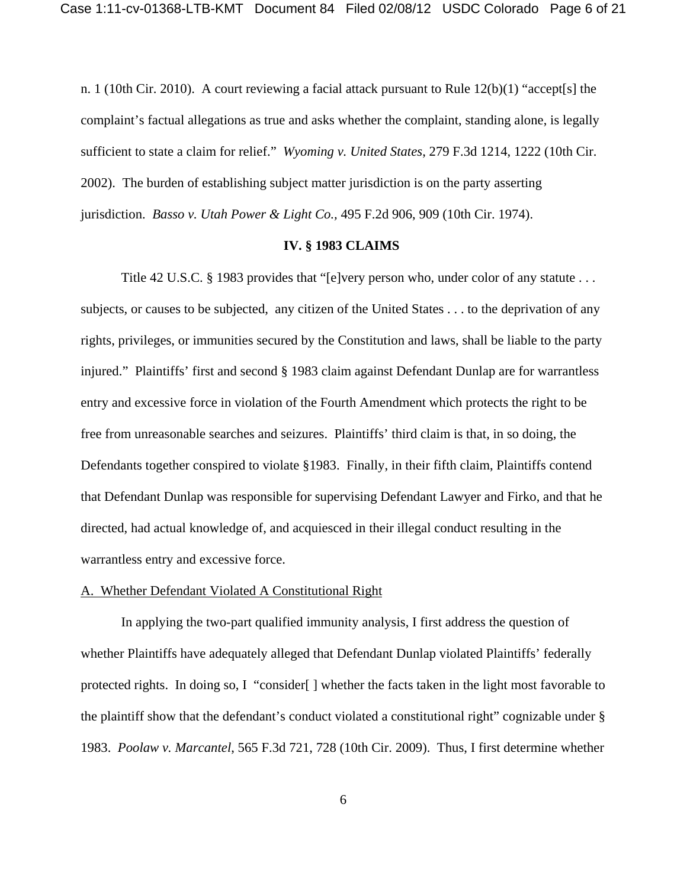n. 1 (10th Cir. 2010). A court reviewing a facial attack pursuant to Rule 12(b)(1) "accept[s] the complaint's factual allegations as true and asks whether the complaint, standing alone, is legally sufficient to state a claim for relief." *Wyoming v. United States*, 279 F.3d 1214, 1222 (10th Cir. 2002). The burden of establishing subject matter jurisdiction is on the party asserting jurisdiction. *Basso v. Utah Power & Light Co.,* 495 F.2d 906, 909 (10th Cir. 1974).

### **IV. § 1983 CLAIMS**

Title 42 U.S.C. § 1983 provides that "[e]very person who, under color of any statute . . . subjects, or causes to be subjected, any citizen of the United States . . . to the deprivation of any rights, privileges, or immunities secured by the Constitution and laws, shall be liable to the party injured." Plaintiffs' first and second § 1983 claim against Defendant Dunlap are for warrantless entry and excessive force in violation of the Fourth Amendment which protects the right to be free from unreasonable searches and seizures. Plaintiffs' third claim is that, in so doing, the Defendants together conspired to violate §1983. Finally, in their fifth claim, Plaintiffs contend that Defendant Dunlap was responsible for supervising Defendant Lawyer and Firko, and that he directed, had actual knowledge of, and acquiesced in their illegal conduct resulting in the warrantless entry and excessive force.

## A. Whether Defendant Violated A Constitutional Right

In applying the two-part qualified immunity analysis, I first address the question of whether Plaintiffs have adequately alleged that Defendant Dunlap violated Plaintiffs' federally protected rights. In doing so, I "consider[ ] whether the facts taken in the light most favorable to the plaintiff show that the defendant's conduct violated a constitutional right" cognizable under § 1983. *Poolaw v. Marcantel*, 565 F.3d 721, 728 (10th Cir. 2009). Thus, I first determine whether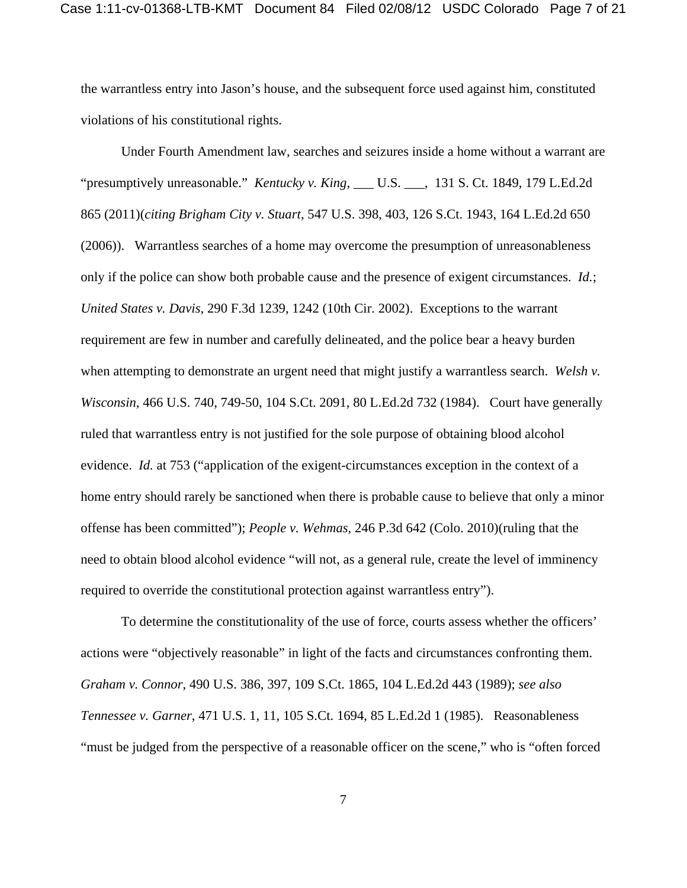the warrantless entry into Jason's house, and the subsequent force used against him, constituted violations of his constitutional rights.

Under Fourth Amendment law, searches and seizures inside a home without a warrant are "presumptively unreasonable." *Kentucky v. King*, \_\_\_ U.S. \_\_\_, 131 S. Ct. 1849, 179 L.Ed.2d 865 (2011)(*citing Brigham City v. Stuart*, 547 U.S. 398, 403, 126 S.Ct. 1943, 164 L.Ed.2d 650 (2006)). Warrantless searches of a home may overcome the presumption of unreasonableness only if the police can show both probable cause and the presence of exigent circumstances. *Id.*; *United States v. Davis*, 290 F.3d 1239, 1242 (10th Cir. 2002). Exceptions to the warrant requirement are few in number and carefully delineated, and the police bear a heavy burden when attempting to demonstrate an urgent need that might justify a warrantless search. *Welsh v. Wisconsin*, 466 U.S. 740, 749-50, 104 S.Ct. 2091, 80 L.Ed.2d 732 (1984). Court have generally ruled that warrantless entry is not justified for the sole purpose of obtaining blood alcohol evidence. *Id.* at 753 ("application of the exigent-circumstances exception in the context of a home entry should rarely be sanctioned when there is probable cause to believe that only a minor offense has been committed"); *People v. Wehmas*, 246 P.3d 642 (Colo. 2010)(ruling that the need to obtain blood alcohol evidence "will not, as a general rule, create the level of imminency required to override the constitutional protection against warrantless entry").

To determine the constitutionality of the use of force, courts assess whether the officers' actions were "objectively reasonable" in light of the facts and circumstances confronting them. *Graham v. Connor*, 490 U.S. 386, 397, 109 S.Ct. 1865, 104 L.Ed.2d 443 (1989); *see also Tennessee v. Garner*, 471 U.S. 1, 11, 105 S.Ct. 1694, 85 L.Ed.2d 1 (1985). Reasonableness "must be judged from the perspective of a reasonable officer on the scene," who is "often forced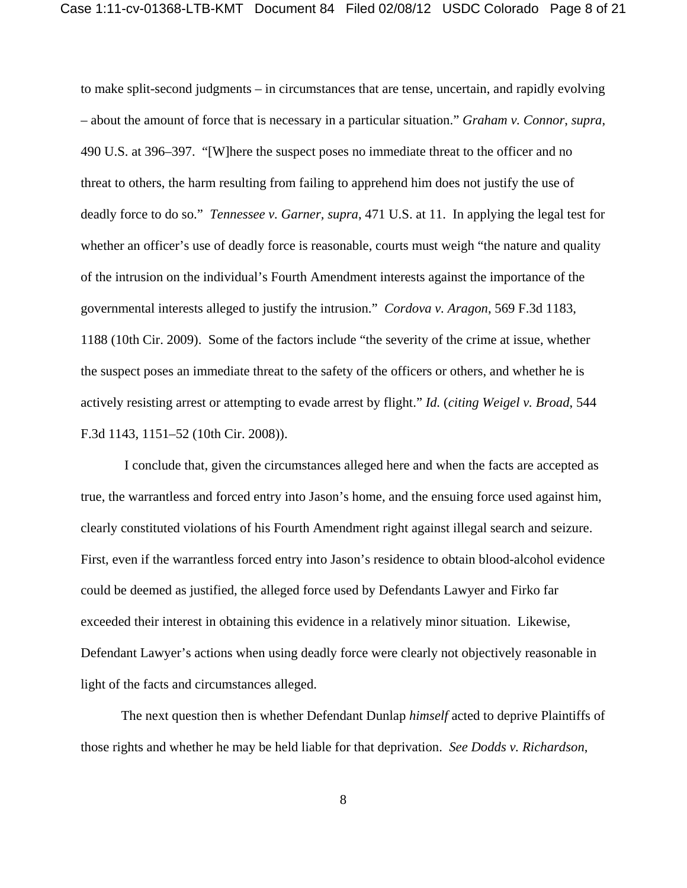to make split-second judgments – in circumstances that are tense, uncertain, and rapidly evolving – about the amount of force that is necessary in a particular situation." *Graham v. Connor*, *supra*, 490 U.S. at 396–397. "[W]here the suspect poses no immediate threat to the officer and no threat to others, the harm resulting from failing to apprehend him does not justify the use of deadly force to do so." *Tennessee v. Garner, supra*, 471 U.S. at 11. In applying the legal test for whether an officer's use of deadly force is reasonable, courts must weigh "the nature and quality of the intrusion on the individual's Fourth Amendment interests against the importance of the governmental interests alleged to justify the intrusion." *Cordova v. Aragon*, 569 F.3d 1183, 1188 (10th Cir. 2009). Some of the factors include "the severity of the crime at issue, whether the suspect poses an immediate threat to the safety of the officers or others, and whether he is actively resisting arrest or attempting to evade arrest by flight." *Id.* (*citing Weigel v. Broad*, 544 F.3d 1143, 1151–52 (10th Cir. 2008)).

 I conclude that, given the circumstances alleged here and when the facts are accepted as true, the warrantless and forced entry into Jason's home, and the ensuing force used against him, clearly constituted violations of his Fourth Amendment right against illegal search and seizure. First, even if the warrantless forced entry into Jason's residence to obtain blood-alcohol evidence could be deemed as justified, the alleged force used by Defendants Lawyer and Firko far exceeded their interest in obtaining this evidence in a relatively minor situation. Likewise, Defendant Lawyer's actions when using deadly force were clearly not objectively reasonable in light of the facts and circumstances alleged.

The next question then is whether Defendant Dunlap *himself* acted to deprive Plaintiffs of those rights and whether he may be held liable for that deprivation. *See Dodds v. Richardson*,

8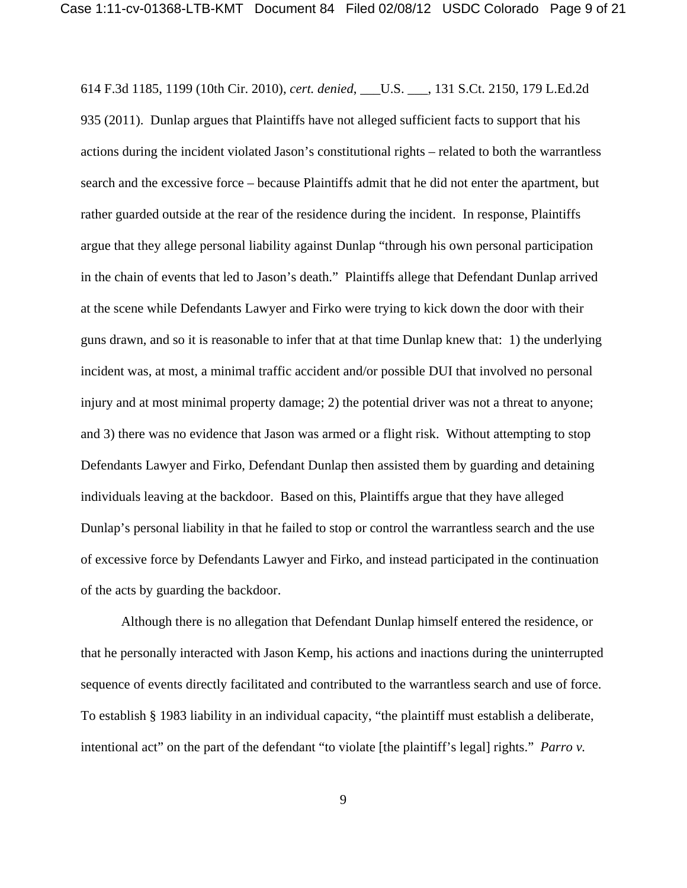614 F.3d 1185, 1199 (10th Cir. 2010), *cert. denied*, \_\_\_U.S. \_\_\_, 131 S.Ct. 2150, 179 L.Ed.2d 935 (2011). Dunlap argues that Plaintiffs have not alleged sufficient facts to support that his actions during the incident violated Jason's constitutional rights – related to both the warrantless search and the excessive force – because Plaintiffs admit that he did not enter the apartment, but rather guarded outside at the rear of the residence during the incident. In response, Plaintiffs argue that they allege personal liability against Dunlap "through his own personal participation in the chain of events that led to Jason's death." Plaintiffs allege that Defendant Dunlap arrived at the scene while Defendants Lawyer and Firko were trying to kick down the door with their guns drawn, and so it is reasonable to infer that at that time Dunlap knew that: 1) the underlying incident was, at most, a minimal traffic accident and/or possible DUI that involved no personal injury and at most minimal property damage; 2) the potential driver was not a threat to anyone; and 3) there was no evidence that Jason was armed or a flight risk. Without attempting to stop Defendants Lawyer and Firko, Defendant Dunlap then assisted them by guarding and detaining individuals leaving at the backdoor. Based on this, Plaintiffs argue that they have alleged Dunlap's personal liability in that he failed to stop or control the warrantless search and the use of excessive force by Defendants Lawyer and Firko, and instead participated in the continuation of the acts by guarding the backdoor.

Although there is no allegation that Defendant Dunlap himself entered the residence, or that he personally interacted with Jason Kemp, his actions and inactions during the uninterrupted sequence of events directly facilitated and contributed to the warrantless search and use of force. To establish § 1983 liability in an individual capacity, "the plaintiff must establish a deliberate, intentional act" on the part of the defendant "to violate [the plaintiff's legal] rights." *Parro v.*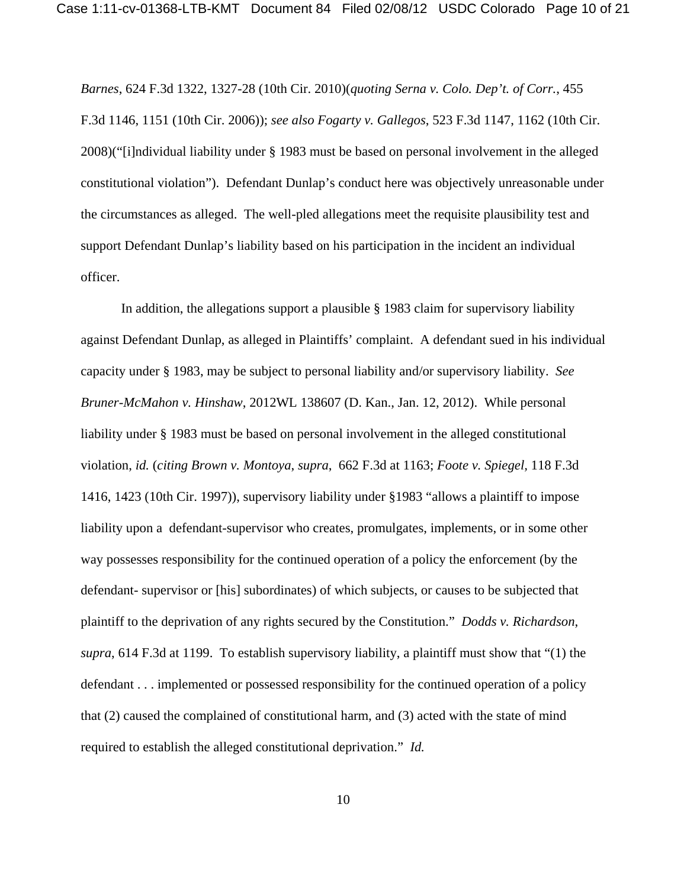*Barnes*, 624 F.3d 1322, 1327-28 (10th Cir. 2010)(*quoting Serna v. Colo. Dep't. of Corr.*, 455 F.3d 1146, 1151 (10th Cir. 2006)); *see also Fogarty v. Gallegos*, 523 F.3d 1147, 1162 (10th Cir. 2008)("[i]ndividual liability under § 1983 must be based on personal involvement in the alleged constitutional violation"). Defendant Dunlap's conduct here was objectively unreasonable under the circumstances as alleged. The well-pled allegations meet the requisite plausibility test and support Defendant Dunlap's liability based on his participation in the incident an individual officer.

In addition, the allegations support a plausible  $\S$  1983 claim for supervisory liability against Defendant Dunlap, as alleged in Plaintiffs' complaint. A defendant sued in his individual capacity under § 1983, may be subject to personal liability and/or supervisory liability. *See Bruner-McMahon v. Hinshaw*, 2012WL 138607 (D. Kan., Jan. 12, 2012). While personal liability under § 1983 must be based on personal involvement in the alleged constitutional violation, *id.* (*citing Brown v. Montoya*, *supra*, 662 F.3d at 1163; *Foote v. Spiegel,* 118 F.3d 1416, 1423 (10th Cir. 1997)), supervisory liability under §1983 "allows a plaintiff to impose liability upon a defendant-supervisor who creates, promulgates, implements, or in some other way possesses responsibility for the continued operation of a policy the enforcement (by the defendant- supervisor or [his] subordinates) of which subjects, or causes to be subjected that plaintiff to the deprivation of any rights secured by the Constitution." *Dodds v. Richardson*, *supra*, 614 F.3d at 1199. To establish supervisory liability, a plaintiff must show that "(1) the defendant . . . implemented or possessed responsibility for the continued operation of a policy that (2) caused the complained of constitutional harm, and (3) acted with the state of mind required to establish the alleged constitutional deprivation." *Id.*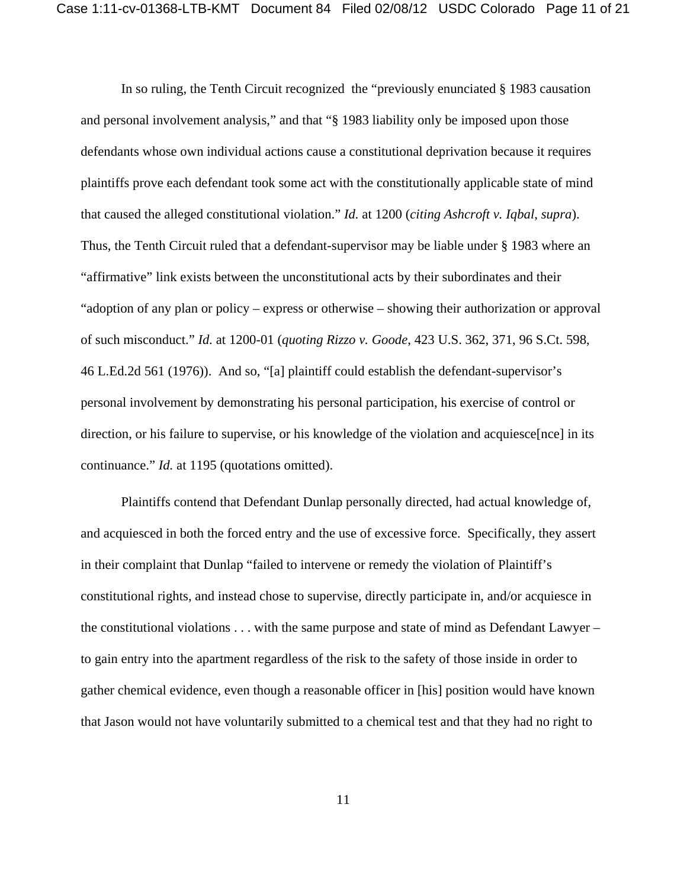In so ruling, the Tenth Circuit recognized the "previously enunciated § 1983 causation and personal involvement analysis," and that "§ 1983 liability only be imposed upon those defendants whose own individual actions cause a constitutional deprivation because it requires plaintiffs prove each defendant took some act with the constitutionally applicable state of mind that caused the alleged constitutional violation." *Id.* at 1200 (*citing Ashcroft v. Iqbal*, *supra*). Thus, the Tenth Circuit ruled that a defendant-supervisor may be liable under § 1983 where an "affirmative" link exists between the unconstitutional acts by their subordinates and their "adoption of any plan or policy – express or otherwise – showing their authorization or approval of such misconduct." *Id.* at 1200-01 (*quoting Rizzo v. Goode*, 423 U.S. 362, 371, 96 S.Ct. 598, 46 L.Ed.2d 561 (1976)). And so, "[a] plaintiff could establish the defendant-supervisor's personal involvement by demonstrating his personal participation, his exercise of control or direction, or his failure to supervise, or his knowledge of the violation and acquiesce[nce] in its continuance." *Id.* at 1195 (quotations omitted).

Plaintiffs contend that Defendant Dunlap personally directed, had actual knowledge of, and acquiesced in both the forced entry and the use of excessive force. Specifically, they assert in their complaint that Dunlap "failed to intervene or remedy the violation of Plaintiff's constitutional rights, and instead chose to supervise, directly participate in, and/or acquiesce in the constitutional violations . . . with the same purpose and state of mind as Defendant Lawyer – to gain entry into the apartment regardless of the risk to the safety of those inside in order to gather chemical evidence, even though a reasonable officer in [his] position would have known that Jason would not have voluntarily submitted to a chemical test and that they had no right to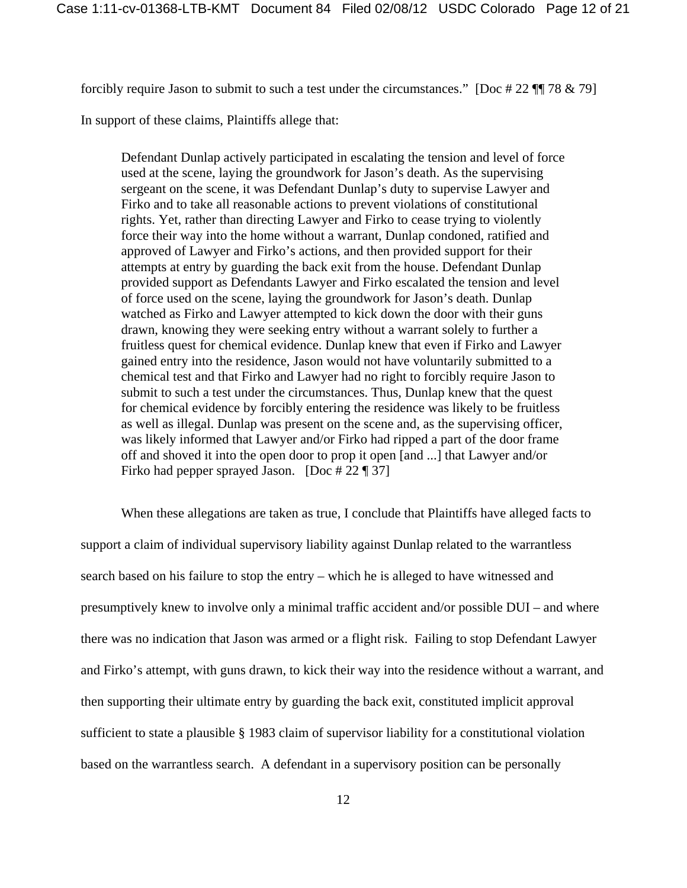forcibly require Jason to submit to such a test under the circumstances." [Doc # 22 ¶¶ 78 & 79]

In support of these claims, Plaintiffs allege that:

Defendant Dunlap actively participated in escalating the tension and level of force used at the scene, laying the groundwork for Jason's death. As the supervising sergeant on the scene, it was Defendant Dunlap's duty to supervise Lawyer and Firko and to take all reasonable actions to prevent violations of constitutional rights. Yet, rather than directing Lawyer and Firko to cease trying to violently force their way into the home without a warrant, Dunlap condoned, ratified and approved of Lawyer and Firko's actions, and then provided support for their attempts at entry by guarding the back exit from the house. Defendant Dunlap provided support as Defendants Lawyer and Firko escalated the tension and level of force used on the scene, laying the groundwork for Jason's death. Dunlap watched as Firko and Lawyer attempted to kick down the door with their guns drawn, knowing they were seeking entry without a warrant solely to further a fruitless quest for chemical evidence. Dunlap knew that even if Firko and Lawyer gained entry into the residence, Jason would not have voluntarily submitted to a chemical test and that Firko and Lawyer had no right to forcibly require Jason to submit to such a test under the circumstances. Thus, Dunlap knew that the quest for chemical evidence by forcibly entering the residence was likely to be fruitless as well as illegal. Dunlap was present on the scene and, as the supervising officer, was likely informed that Lawyer and/or Firko had ripped a part of the door frame off and shoved it into the open door to prop it open [and ...] that Lawyer and/or Firko had pepper sprayed Jason.  $[Doc # 22$  [] 37]

When these allegations are taken as true, I conclude that Plaintiffs have alleged facts to support a claim of individual supervisory liability against Dunlap related to the warrantless search based on his failure to stop the entry – which he is alleged to have witnessed and presumptively knew to involve only a minimal traffic accident and/or possible DUI – and where there was no indication that Jason was armed or a flight risk. Failing to stop Defendant Lawyer and Firko's attempt, with guns drawn, to kick their way into the residence without a warrant, and then supporting their ultimate entry by guarding the back exit, constituted implicit approval sufficient to state a plausible § 1983 claim of supervisor liability for a constitutional violation based on the warrantless search. A defendant in a supervisory position can be personally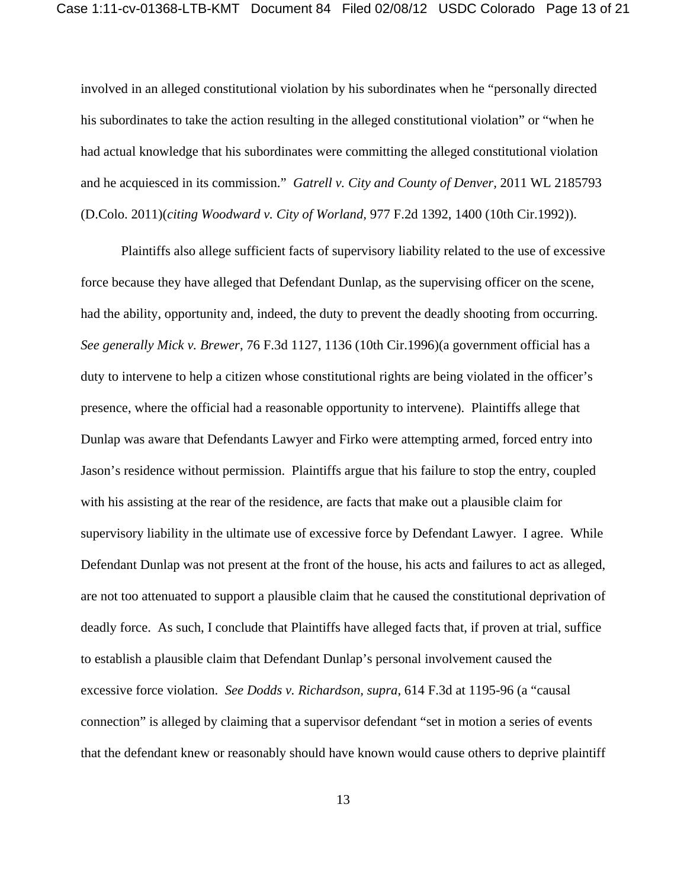involved in an alleged constitutional violation by his subordinates when he "personally directed his subordinates to take the action resulting in the alleged constitutional violation" or "when he had actual knowledge that his subordinates were committing the alleged constitutional violation and he acquiesced in its commission." *Gatrell v. City and County of Denver,* 2011 WL 2185793 (D.Colo. 2011)(*citing Woodward v. City of Worland,* 977 F.2d 1392, 1400 (10th Cir.1992)).

Plaintiffs also allege sufficient facts of supervisory liability related to the use of excessive force because they have alleged that Defendant Dunlap, as the supervising officer on the scene, had the ability, opportunity and, indeed, the duty to prevent the deadly shooting from occurring. *See generally Mick v. Brewer*, 76 F.3d 1127, 1136 (10th Cir.1996)(a government official has a duty to intervene to help a citizen whose constitutional rights are being violated in the officer's presence, where the official had a reasonable opportunity to intervene). Plaintiffs allege that Dunlap was aware that Defendants Lawyer and Firko were attempting armed, forced entry into Jason's residence without permission. Plaintiffs argue that his failure to stop the entry, coupled with his assisting at the rear of the residence, are facts that make out a plausible claim for supervisory liability in the ultimate use of excessive force by Defendant Lawyer. I agree. While Defendant Dunlap was not present at the front of the house, his acts and failures to act as alleged, are not too attenuated to support a plausible claim that he caused the constitutional deprivation of deadly force. As such, I conclude that Plaintiffs have alleged facts that, if proven at trial, suffice to establish a plausible claim that Defendant Dunlap's personal involvement caused the excessive force violation. *See Dodds v. Richardson, supra*, 614 F.3d at 1195-96 (a "causal connection" is alleged by claiming that a supervisor defendant "set in motion a series of events that the defendant knew or reasonably should have known would cause others to deprive plaintiff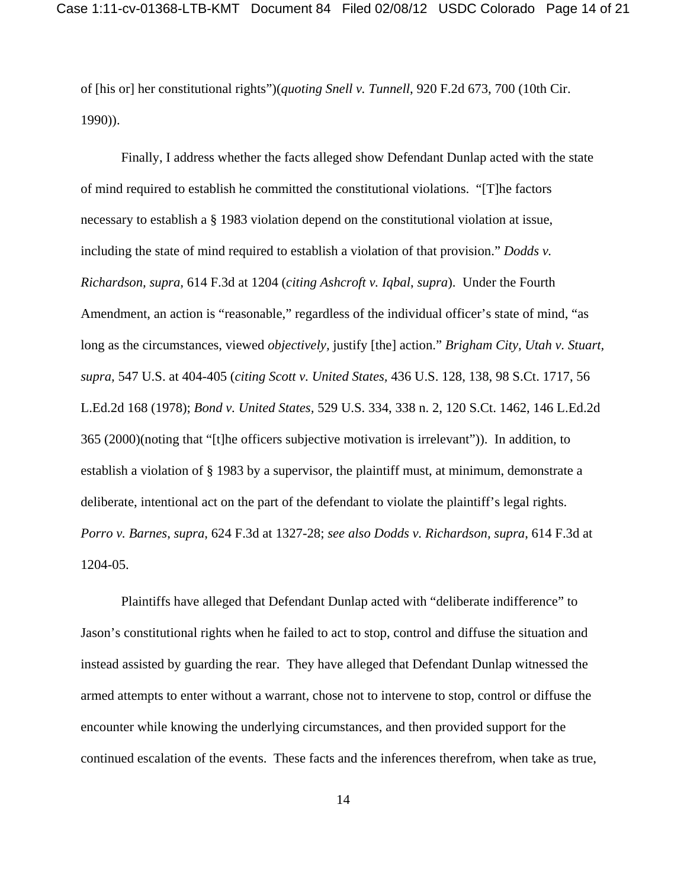of [his or] her constitutional rights")(*quoting Snell v. Tunnell*, 920 F.2d 673, 700 (10th Cir. 1990)).

Finally, I address whether the facts alleged show Defendant Dunlap acted with the state of mind required to establish he committed the constitutional violations. "[T]he factors necessary to establish a § 1983 violation depend on the constitutional violation at issue, including the state of mind required to establish a violation of that provision." *Dodds v. Richardson, supra,* 614 F.3d at 1204 (*citing Ashcroft v. Iqbal*, *supra*). Under the Fourth Amendment, an action is "reasonable," regardless of the individual officer's state of mind, "as long as the circumstances, viewed *objectively,* justify [the] action." *Brigham City, Utah v. Stuart, supra,* 547 U.S. at 404-405 (*citing Scott v. United States,* 436 U.S. 128, 138, 98 S.Ct. 1717, 56 L.Ed.2d 168 (1978); *Bond v. United States,* 529 U.S. 334, 338 n. 2, 120 S.Ct. 1462, 146 L.Ed.2d 365 (2000)(noting that "[t]he officers subjective motivation is irrelevant")). In addition, to establish a violation of § 1983 by a supervisor, the plaintiff must, at minimum, demonstrate a deliberate, intentional act on the part of the defendant to violate the plaintiff's legal rights. *Porro v. Barnes*, *supra*, 624 F.3d at 1327-28; *see also Dodds v. Richardson, supra*, 614 F.3d at 1204-05.

Plaintiffs have alleged that Defendant Dunlap acted with "deliberate indifference" to Jason's constitutional rights when he failed to act to stop, control and diffuse the situation and instead assisted by guarding the rear. They have alleged that Defendant Dunlap witnessed the armed attempts to enter without a warrant, chose not to intervene to stop, control or diffuse the encounter while knowing the underlying circumstances, and then provided support for the continued escalation of the events. These facts and the inferences therefrom, when take as true,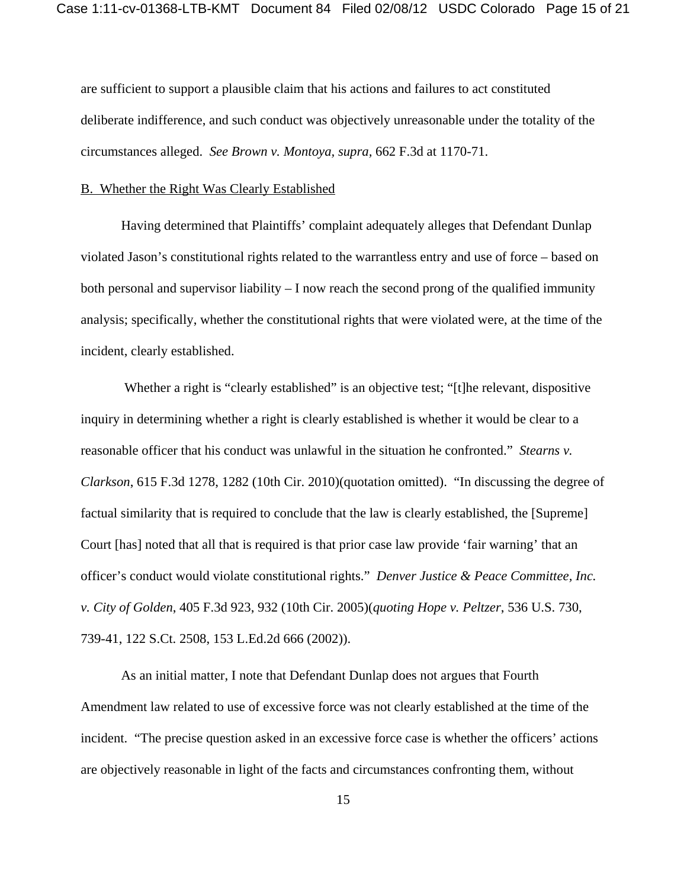are sufficient to support a plausible claim that his actions and failures to act constituted deliberate indifference, and such conduct was objectively unreasonable under the totality of the circumstances alleged. *See Brown v. Montoya, supra,* 662 F.3d at 1170-71.

#### B. Whether the Right Was Clearly Established

Having determined that Plaintiffs' complaint adequately alleges that Defendant Dunlap violated Jason's constitutional rights related to the warrantless entry and use of force – based on both personal and supervisor liability – I now reach the second prong of the qualified immunity analysis; specifically, whether the constitutional rights that were violated were, at the time of the incident, clearly established.

Whether a right is "clearly established" is an objective test; "[t]he relevant, dispositive inquiry in determining whether a right is clearly established is whether it would be clear to a reasonable officer that his conduct was unlawful in the situation he confronted." *Stearns v. Clarkson*, 615 F.3d 1278, 1282 (10th Cir. 2010)(quotation omitted). "In discussing the degree of factual similarity that is required to conclude that the law is clearly established, the [Supreme] Court [has] noted that all that is required is that prior case law provide 'fair warning' that an officer's conduct would violate constitutional rights." *Denver Justice & Peace Committee, Inc. v. City of Golden*, 405 F.3d 923, 932 (10th Cir. 2005)(*quoting Hope v. Peltzer*, 536 U.S. 730, 739-41, 122 S.Ct. 2508, 153 L.Ed.2d 666 (2002)).

As an initial matter, I note that Defendant Dunlap does not argues that Fourth Amendment law related to use of excessive force was not clearly established at the time of the incident. "The precise question asked in an excessive force case is whether the officers' actions are objectively reasonable in light of the facts and circumstances confronting them, without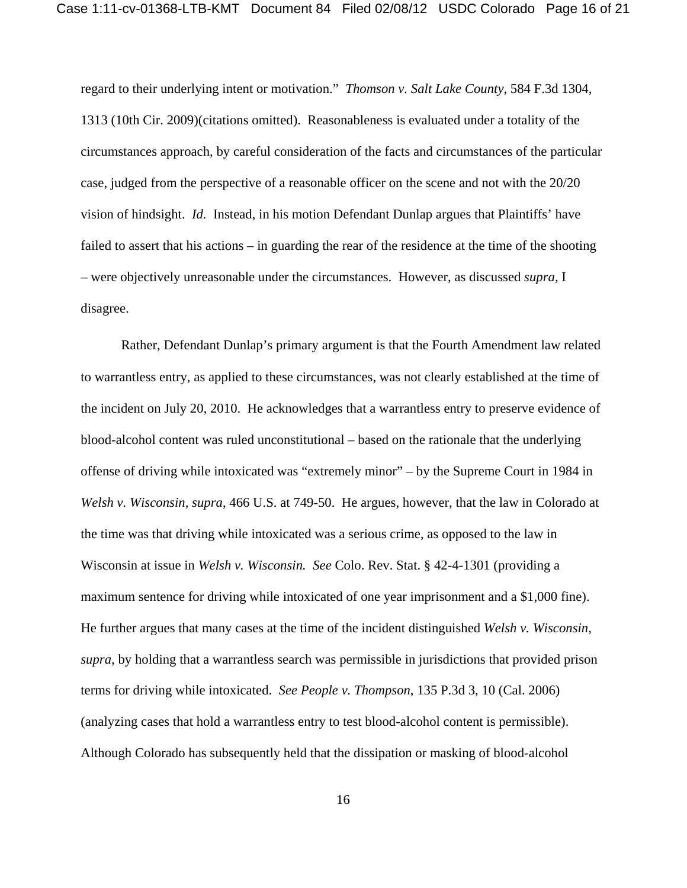regard to their underlying intent or motivation." *Thomson v. Salt Lake County*, 584 F.3d 1304, 1313 (10th Cir. 2009)(citations omitted). Reasonableness is evaluated under a totality of the circumstances approach, by careful consideration of the facts and circumstances of the particular case, judged from the perspective of a reasonable officer on the scene and not with the 20/20 vision of hindsight. *Id.* Instead, in his motion Defendant Dunlap argues that Plaintiffs' have failed to assert that his actions – in guarding the rear of the residence at the time of the shooting – were objectively unreasonable under the circumstances. However, as discussed *supra,* I disagree.

Rather, Defendant Dunlap's primary argument is that the Fourth Amendment law related to warrantless entry, as applied to these circumstances, was not clearly established at the time of the incident on July 20, 2010. He acknowledges that a warrantless entry to preserve evidence of blood-alcohol content was ruled unconstitutional – based on the rationale that the underlying offense of driving while intoxicated was "extremely minor" – by the Supreme Court in 1984 in *Welsh v. Wisconsin, supra*, 466 U.S. at 749-50. He argues, however, that the law in Colorado at the time was that driving while intoxicated was a serious crime, as opposed to the law in Wisconsin at issue in *Welsh v. Wisconsin. See* Colo. Rev. Stat. § 42-4-1301 (providing a maximum sentence for driving while intoxicated of one year imprisonment and a \$1,000 fine). He further argues that many cases at the time of the incident distinguished *Welsh v. Wisconsin, supra*, by holding that a warrantless search was permissible in jurisdictions that provided prison terms for driving while intoxicated. *See People v. Thompson*, 135 P.3d 3, 10 (Cal. 2006) (analyzing cases that hold a warrantless entry to test blood-alcohol content is permissible). Although Colorado has subsequently held that the dissipation or masking of blood-alcohol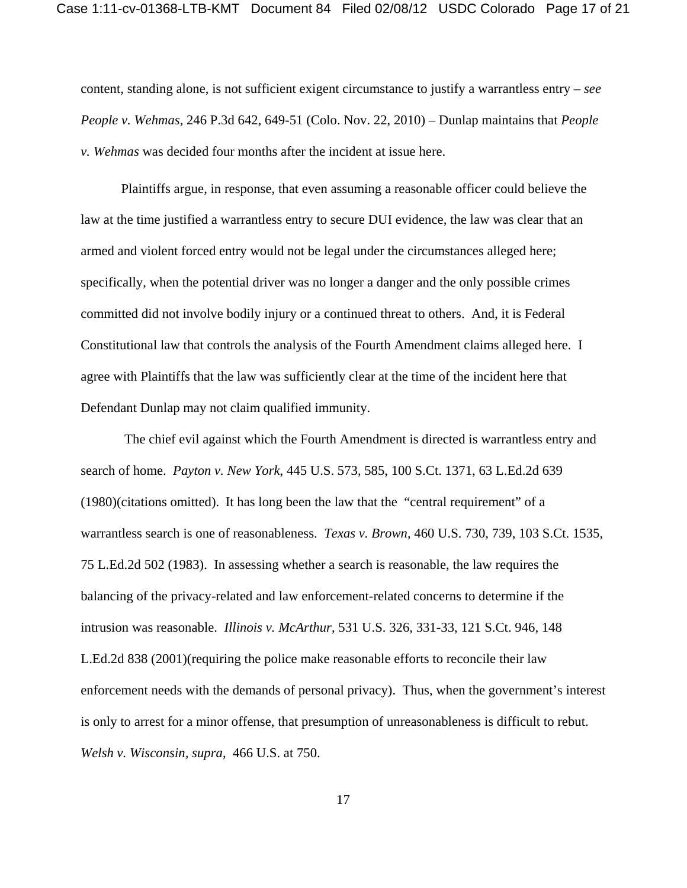content, standing alone, is not sufficient exigent circumstance to justify a warrantless entry – *see People v. Wehmas*, 246 P.3d 642, 649-51 (Colo. Nov. 22, 2010) – Dunlap maintains that *People v. Wehmas* was decided four months after the incident at issue here.

Plaintiffs argue, in response, that even assuming a reasonable officer could believe the law at the time justified a warrantless entry to secure DUI evidence, the law was clear that an armed and violent forced entry would not be legal under the circumstances alleged here; specifically, when the potential driver was no longer a danger and the only possible crimes committed did not involve bodily injury or a continued threat to others. And, it is Federal Constitutional law that controls the analysis of the Fourth Amendment claims alleged here. I agree with Plaintiffs that the law was sufficiently clear at the time of the incident here that Defendant Dunlap may not claim qualified immunity.

 The chief evil against which the Fourth Amendment is directed is warrantless entry and search of home. *Payton v. New York*, 445 U.S. 573, 585, 100 S.Ct. 1371, 63 L.Ed.2d 639 (1980)(citations omitted). It has long been the law that the "central requirement" of a warrantless search is one of reasonableness. *Texas v. Brown*, 460 U.S. 730, 739, 103 S.Ct. 1535, 75 L.Ed.2d 502 (1983). In assessing whether a search is reasonable, the law requires the balancing of the privacy-related and law enforcement-related concerns to determine if the intrusion was reasonable. *Illinois v. McArthur*, 531 U.S. 326, 331-33, 121 S.Ct. 946, 148 L.Ed.2d 838 (2001)(requiring the police make reasonable efforts to reconcile their law enforcement needs with the demands of personal privacy). Thus, when the government's interest is only to arrest for a minor offense, that presumption of unreasonableness is difficult to rebut. *Welsh v. Wisconsin, supra*, 466 U.S. at 750.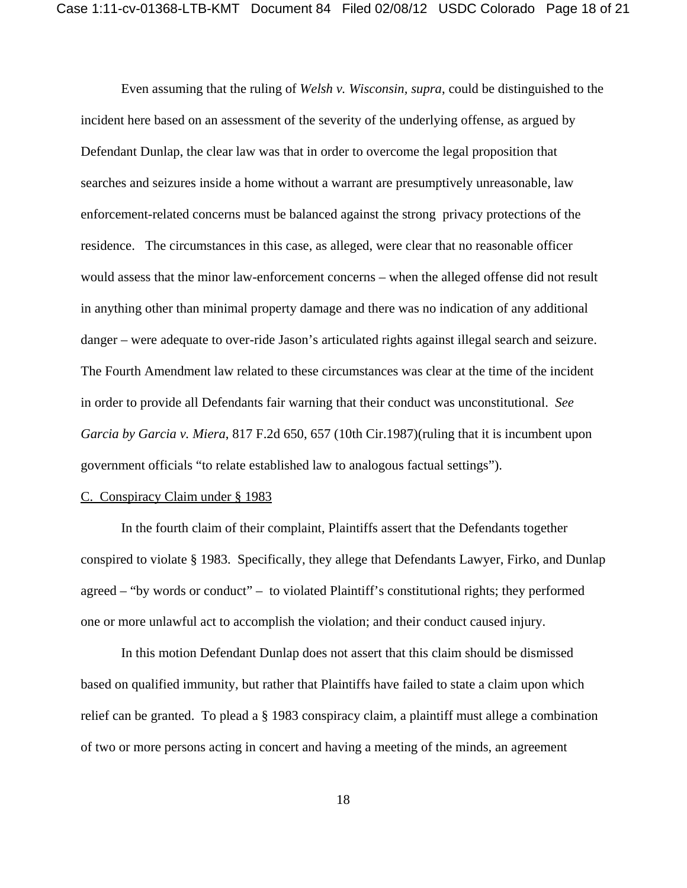Even assuming that the ruling of *Welsh v. Wisconsin, supra*, could be distinguished to the incident here based on an assessment of the severity of the underlying offense, as argued by Defendant Dunlap, the clear law was that in order to overcome the legal proposition that searches and seizures inside a home without a warrant are presumptively unreasonable, law enforcement-related concerns must be balanced against the strong privacy protections of the residence. The circumstances in this case, as alleged, were clear that no reasonable officer would assess that the minor law-enforcement concerns – when the alleged offense did not result in anything other than minimal property damage and there was no indication of any additional danger – were adequate to over-ride Jason's articulated rights against illegal search and seizure. The Fourth Amendment law related to these circumstances was clear at the time of the incident in order to provide all Defendants fair warning that their conduct was unconstitutional. *See Garcia by Garcia v. Miera*, 817 F.2d 650, 657 (10th Cir.1987)(ruling that it is incumbent upon government officials "to relate established law to analogous factual settings").

#### C. Conspiracy Claim under § 1983

In the fourth claim of their complaint, Plaintiffs assert that the Defendants together conspired to violate § 1983. Specifically, they allege that Defendants Lawyer, Firko, and Dunlap agreed – "by words or conduct" – to violated Plaintiff's constitutional rights; they performed one or more unlawful act to accomplish the violation; and their conduct caused injury.

In this motion Defendant Dunlap does not assert that this claim should be dismissed based on qualified immunity, but rather that Plaintiffs have failed to state a claim upon which relief can be granted. To plead a § 1983 conspiracy claim, a plaintiff must allege a combination of two or more persons acting in concert and having a meeting of the minds, an agreement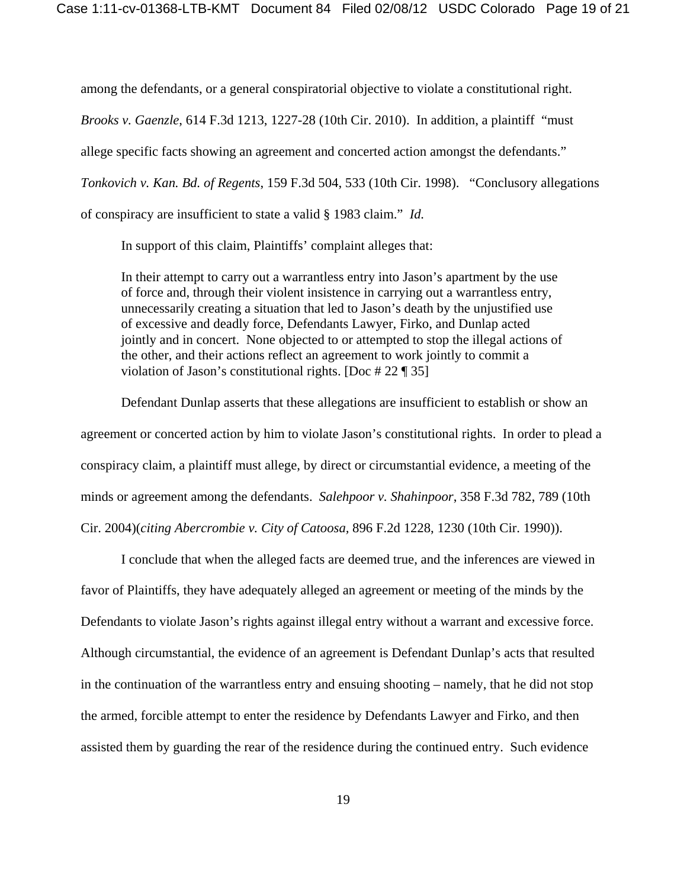among the defendants, or a general conspiratorial objective to violate a constitutional right. *Brooks v. Gaenzle*, 614 F.3d 1213, 1227-28 (10th Cir. 2010). In addition, a plaintiff "must allege specific facts showing an agreement and concerted action amongst the defendants." *Tonkovich v. Kan. Bd. of Regents*, 159 F.3d 504, 533 (10th Cir. 1998). "Conclusory allegations of conspiracy are insufficient to state a valid § 1983 claim." *Id.*

In support of this claim, Plaintiffs' complaint alleges that:

In their attempt to carry out a warrantless entry into Jason's apartment by the use of force and, through their violent insistence in carrying out a warrantless entry, unnecessarily creating a situation that led to Jason's death by the unjustified use of excessive and deadly force, Defendants Lawyer, Firko, and Dunlap acted jointly and in concert. None objected to or attempted to stop the illegal actions of the other, and their actions reflect an agreement to work jointly to commit a violation of Jason's constitutional rights. [Doc # 22 ¶ 35]

Defendant Dunlap asserts that these allegations are insufficient to establish or show an agreement or concerted action by him to violate Jason's constitutional rights. In order to plead a conspiracy claim, a plaintiff must allege, by direct or circumstantial evidence, a meeting of the minds or agreement among the defendants. *Salehpoor v. Shahinpoor*, 358 F.3d 782, 789 (10th Cir. 2004)(*citing Abercrombie v. City of Catoosa,* 896 F.2d 1228, 1230 (10th Cir. 1990)).

I conclude that when the alleged facts are deemed true, and the inferences are viewed in favor of Plaintiffs, they have adequately alleged an agreement or meeting of the minds by the Defendants to violate Jason's rights against illegal entry without a warrant and excessive force. Although circumstantial, the evidence of an agreement is Defendant Dunlap's acts that resulted in the continuation of the warrantless entry and ensuing shooting – namely, that he did not stop the armed, forcible attempt to enter the residence by Defendants Lawyer and Firko, and then assisted them by guarding the rear of the residence during the continued entry. Such evidence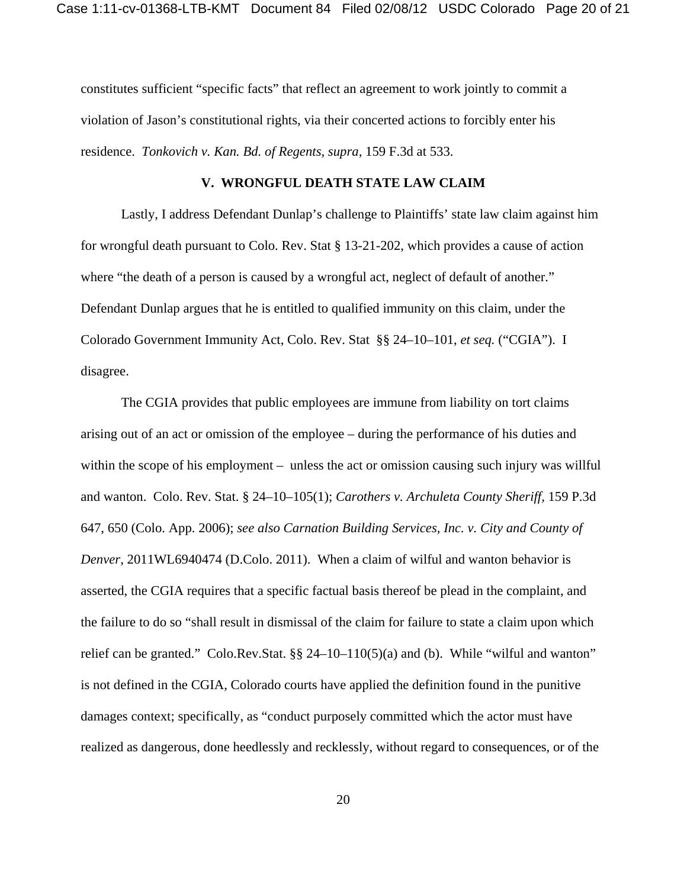constitutes sufficient "specific facts" that reflect an agreement to work jointly to commit a violation of Jason's constitutional rights, via their concerted actions to forcibly enter his residence. *Tonkovich v. Kan. Bd. of Regents*, *supra,* 159 F.3d at 533.

### **V. WRONGFUL DEATH STATE LAW CLAIM**

Lastly, I address Defendant Dunlap's challenge to Plaintiffs' state law claim against him for wrongful death pursuant to Colo. Rev. Stat § 13-21-202, which provides a cause of action where "the death of a person is caused by a wrongful act, neglect of default of another." Defendant Dunlap argues that he is entitled to qualified immunity on this claim, under the Colorado Government Immunity Act, Colo. Rev. Stat §§ 24–10–101, *et seq.* ("CGIA"). I disagree.

The CGIA provides that public employees are immune from liability on tort claims arising out of an act or omission of the employee – during the performance of his duties and within the scope of his employment – unless the act or omission causing such injury was willful and wanton. Colo. Rev. Stat. § 24–10–105(1); *Carothers v. Archuleta County Sheriff,* 159 P.3d 647, 650 (Colo. App. 2006); *see also Carnation Building Services, Inc. v. City and County of Denver*, 2011WL6940474 (D.Colo. 2011). When a claim of wilful and wanton behavior is asserted, the CGIA requires that a specific factual basis thereof be plead in the complaint, and the failure to do so "shall result in dismissal of the claim for failure to state a claim upon which relief can be granted." Colo.Rev.Stat. §§ 24–10–110(5)(a) and (b). While "wilful and wanton" is not defined in the CGIA, Colorado courts have applied the definition found in the punitive damages context; specifically, as "conduct purposely committed which the actor must have realized as dangerous, done heedlessly and recklessly, without regard to consequences, or of the